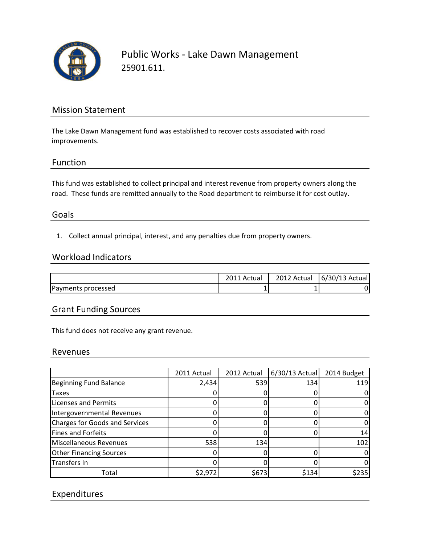

Public Works - Lake Dawn Management 25901.611.

## Mission Statement

The Lake Dawn Management fund was established to recover costs associated with road improvements.

## Function

This fund was established to collect principal and interest revenue from property owners along the road. These funds are remitted annually to the Road department to reimburse it for cost outlay.

## Goals

1. Collect annual principal, interest, and any penalties due from property owners.

#### Workload Indicators

|                    | Actual | 2012 Actual | $6/30/13$ Actual |
|--------------------|--------|-------------|------------------|
| Payments processed | ┻      |             |                  |

## Grant Funding Sources

This fund does not receive any grant revenue.

#### Revenues

|                                | 2011 Actual | 2012 Actual | 6/30/13 Actual | 2014 Budget |
|--------------------------------|-------------|-------------|----------------|-------------|
| <b>Beginning Fund Balance</b>  | 2,434       | 539         | 134            | 119         |
| <b>Taxes</b>                   |             |             |                |             |
| <b>Licenses and Permits</b>    |             |             |                |             |
| Intergovernmental Revenues     |             |             |                |             |
| Charges for Goods and Services |             |             |                |             |
| Fines and Forfeits             |             |             |                | 14          |
| Miscellaneous Revenues         | 538         | 134         |                | 102         |
| <b>Other Financing Sources</b> |             |             |                |             |
| Transfers In                   |             |             |                |             |
| Total                          | \$2,972     | \$673       | \$134          | \$235       |

# Expenditures